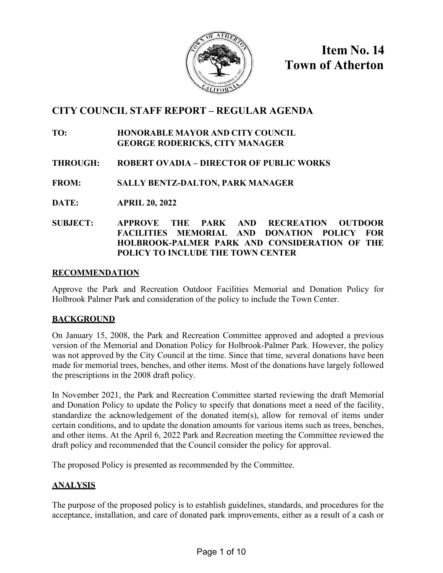

**Item No. 14 Town of Atherton**

# **CITY COUNCIL STAFF REPORT – REGULAR AGENDA**

#### **TO: HONORABLE MAYOR AND CITY COUNCIL GEORGE RODERICKS, CITY MANAGER**

## **THROUGH: ROBERT OVADIA – DIRECTOR OF PUBLIC WORKS**

**FROM: SALLY BENTZ-DALTON, PARK MANAGER**

**DATE: APRIL 20, 2022** 

### **SUBJECT: APPROVE THE PARK AND RECREATION OUTDOOR FACILITIES MEMORIAL AND DONATION POLICY FOR HOLBROOK-PALMER PARK AND CONSIDERATION OF THE POLICY TO INCLUDE THE TOWN CENTER**

#### **RECOMMENDATION**

Approve the Park and Recreation Outdoor Facilities Memorial and Donation Policy for Holbrook Palmer Park and consideration of the policy to include the Town Center.

### **BACKGROUND**

On January 15, 2008, the Park and Recreation Committee approved and adopted a previous version of the Memorial and Donation Policy for Holbrook-Palmer Park. However, the policy was not approved by the City Council at the time. Since that time, several donations have been made for memorial trees, benches, and other items. Most of the donations have largely followed the prescriptions in the 2008 draft policy.

In November 2021, the Park and Recreation Committee started reviewing the draft Memorial and Donation Policy to update the Policy to specify that donations meet a need of the facility, standardize the acknowledgement of the donated item(s), allow for removal of items under certain conditions, and to update the donation amounts for various items such as trees, benches, and other items. At the April 6, 2022 Park and Recreation meeting the Committee reviewed the draft policy and recommended that the Council consider the policy for approval.

The proposed Policy is presented as recommended by the Committee.

## **ANALYSIS**

The purpose of the proposed policy is to establish guidelines, standards, and procedures for the acceptance, installation, and care of donated park improvements, either as a result of a cash or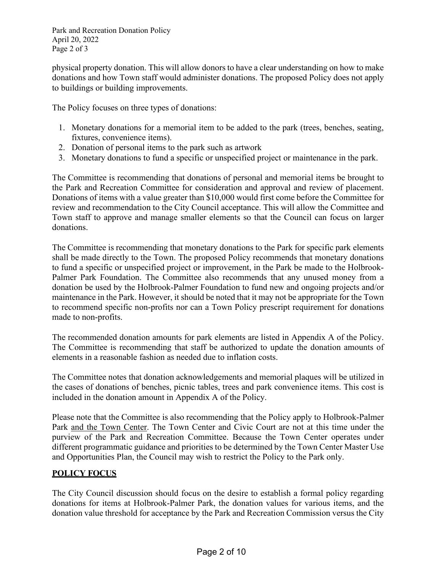Park and Recreation Donation Policy April 20, 2022 Page 2 of 3

physical property donation. This will allow donors to have a clear understanding on how to make donations and how Town staff would administer donations. The proposed Policy does not apply to buildings or building improvements.

The Policy focuses on three types of donations:

- 1. Monetary donations for a memorial item to be added to the park (trees, benches, seating, fixtures, convenience items).
- 2. Donation of personal items to the park such as artwork
- 3. Monetary donations to fund a specific or unspecified project or maintenance in the park.

The Committee is recommending that donations of personal and memorial items be brought to the Park and Recreation Committee for consideration and approval and review of placement. Donations of items with a value greater than \$10,000 would first come before the Committee for review and recommendation to the City Council acceptance. This will allow the Committee and Town staff to approve and manage smaller elements so that the Council can focus on larger donations.

The Committee is recommending that monetary donations to the Park for specific park elements shall be made directly to the Town. The proposed Policy recommends that monetary donations to fund a specific or unspecified project or improvement, in the Park be made to the Holbrook-Palmer Park Foundation. The Committee also recommends that any unused money from a donation be used by the Holbrook-Palmer Foundation to fund new and ongoing projects and/or maintenance in the Park. However, it should be noted that it may not be appropriate for the Town to recommend specific non-profits nor can a Town Policy prescript requirement for donations made to non-profits.

The recommended donation amounts for park elements are listed in Appendix A of the Policy. The Committee is recommending that staff be authorized to update the donation amounts of elements in a reasonable fashion as needed due to inflation costs.

The Committee notes that donation acknowledgements and memorial plaques will be utilized in the cases of donations of benches, picnic tables, trees and park convenience items. This cost is included in the donation amount in Appendix A of the Policy.

Please note that the Committee is also recommending that the Policy apply to Holbrook-Palmer Park and the Town Center. The Town Center and Civic Court are not at this time under the purview of the Park and Recreation Committee. Because the Town Center operates under different programmatic guidance and priorities to be determined by the Town Center Master Use and Opportunities Plan, the Council may wish to restrict the Policy to the Park only.

### **POLICY FOCUS**

The City Council discussion should focus on the desire to establish a formal policy regarding donations for items at Holbrook-Palmer Park, the donation values for various items, and the donation value threshold for acceptance by the Park and Recreation Commission versus the City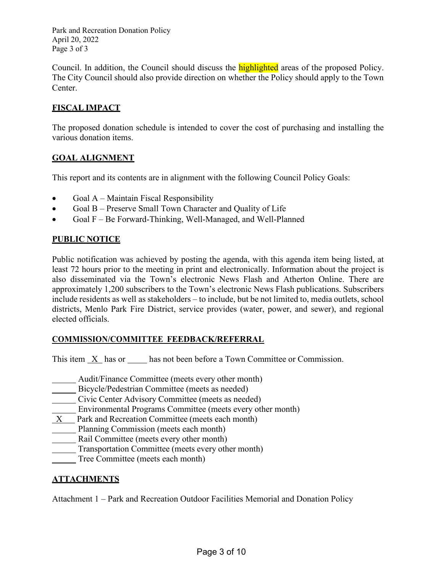Park and Recreation Donation Policy April 20, 2022 Page 3 of 3

Council. In addition, the Council should discuss the **highlighted** areas of the proposed Policy. The City Council should also provide direction on whether the Policy should apply to the Town Center.

## **FISCAL IMPACT**

The proposed donation schedule is intended to cover the cost of purchasing and installing the various donation items.

### **GOAL ALIGNMENT**

This report and its contents are in alignment with the following Council Policy Goals:

- Goal  $A -$ Maintain Fiscal Responsibility
- Goal B Preserve Small Town Character and Quality of Life
- Goal F Be Forward-Thinking, Well-Managed, and Well-Planned

### **PUBLIC NOTICE**

Public notification was achieved by posting the agenda, with this agenda item being listed, at least 72 hours prior to the meeting in print and electronically. Information about the project is also disseminated via the Town's electronic News Flash and Atherton Online. There are approximately 1,200 subscribers to the Town's electronic News Flash publications. Subscribers include residents as well as stakeholders – to include, but be not limited to, media outlets, school districts, Menlo Park Fire District, service provides (water, power, and sewer), and regional elected officials.

### **COMMISSION/COMMITTEE FEEDBACK/REFERRAL**

This item  $X$  has or has not been before a Town Committee or Commission.

- Audit/Finance Committee (meets every other month)
- **EXECUTE:** Bicycle/Pedestrian Committee (meets as needed)
- Civic Center Advisory Committee (meets as needed)
- Environmental Programs Committee (meets every other month)
- X Park and Recreation Committee (meets each month)
- Planning Commission (meets each month)
- Rail Committee (meets every other month)
- Transportation Committee (meets every other month)
- Tree Committee (meets each month)

### **ATTACHMENTS**

Attachment 1 – Park and Recreation Outdoor Facilities Memorial and Donation Policy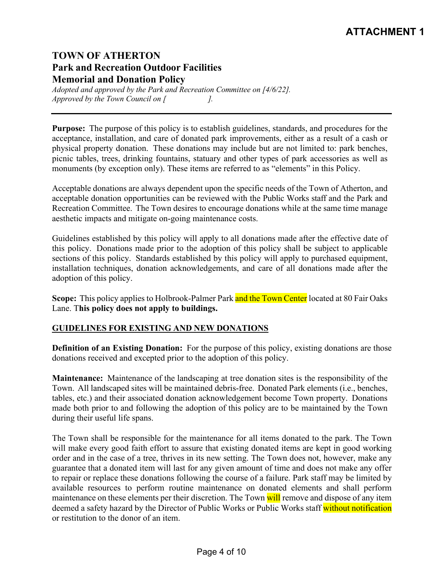# **ATTACHMENT 1**

# **TOWN OF ATHERTON Park and Recreation Outdoor Facilities Memorial and Donation Policy**

*Adopted and approved by the Park and Recreation Committee on [4/6/22]. Approved by the Town Council on [ ].*

**Purpose:** The purpose of this policy is to establish guidelines, standards, and procedures for the acceptance, installation, and care of donated park improvements, either as a result of a cash or physical property donation. These donations may include but are not limited to: park benches, picnic tables, trees, drinking fountains, statuary and other types of park accessories as well as monuments (by exception only). These items are referred to as "elements" in this Policy.

Acceptable donations are always dependent upon the specific needs of the Town of Atherton, and acceptable donation opportunities can be reviewed with the Public Works staff and the Park and Recreation Committee. The Town desires to encourage donations while at the same time manage aesthetic impacts and mitigate on-going maintenance costs.

Guidelines established by this policy will apply to all donations made after the effective date of this policy. Donations made prior to the adoption of this policy shall be subject to applicable sections of this policy. Standards established by this policy will apply to purchased equipment, installation techniques, donation acknowledgements, and care of all donations made after the adoption of this policy.

**Scope:** This policy applies to Holbrook-Palmer Park and the Town Center located at 80 Fair Oaks Lane. T**his policy does not apply to buildings.**

#### **GUIDELINES FOR EXISTING AND NEW DONATIONS**

**Definition of an Existing Donation:** For the purpose of this policy, existing donations are those donations received and excepted prior to the adoption of this policy.

**Maintenance:** Maintenance of the landscaping at tree donation sites is the responsibility of the Town. All landscaped sites will be maintained debris-free. Donated Park elements (i.e., benches, tables, etc.) and their associated donation acknowledgement become Town property. Donations made both prior to and following the adoption of this policy are to be maintained by the Town during their useful life spans.

The Town shall be responsible for the maintenance for all items donated to the park. The Town will make every good faith effort to assure that existing donated items are kept in good working order and in the case of a tree, thrives in its new setting. The Town does not, however, make any guarantee that a donated item will last for any given amount of time and does not make any offer to repair or replace these donations following the course of a failure. Park staff may be limited by available resources to perform routine maintenance on donated elements and shall perform maintenance on these elements per their discretion. The Town will remove and dispose of any item deemed a safety hazard by the Director of Public Works or Public Works staff without notification or restitution to the donor of an item.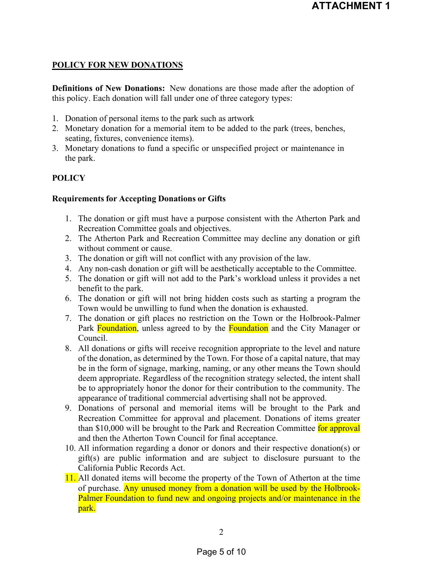## **POLICY FOR NEW DONATIONS**

**Definitions of New Donations:** New donations are those made after the adoption of this policy. Each donation will fall under one of three category types:

- 1. Donation of personal items to the park such as artwork
- 2. Monetary donation for a memorial item to be added to the park (trees, benches, seating, fixtures, convenience items).
- 3. Monetary donations to fund a specific or unspecified project or maintenance in the park.

## **POLICY**

### **Requirements for Accepting Donations or Gifts**

- 1. The donation or gift must have a purpose consistent with the Atherton Park and Recreation Committee goals and objectives.
- 2. The Atherton Park and Recreation Committee may decline any donation or gift without comment or cause.
- 3. The donation or gift will not conflict with any provision of the law.
- 4. Any non-cash donation or gift will be aesthetically acceptable to the Committee.
- 5. The donation or gift will not add to the Park's workload unless it provides a net benefit to the park.
- 6. The donation or gift will not bring hidden costs such as starting a program the Town would be unwilling to fund when the donation is exhausted.
- 7. The donation or gift places no restriction on the Town or the Holbrook-Palmer Park Foundation, unless agreed to by the Foundation and the City Manager or Council.
- 8. All donations or gifts will receive recognition appropriate to the level and nature of the donation, as determined by the Town. For those of a capital nature, that may be in the form of signage, marking, naming, or any other means the Town should deem appropriate. Regardless of the recognition strategy selected, the intent shall be to appropriately honor the donor for their contribution to the community. The appearance of traditional commercial advertising shall not be approved.
- 9. Donations of personal and memorial items will be brought to the Park and Recreation Committee for approval and placement. Donations of items greater than \$10,000 will be brought to the Park and Recreation Committee for approval and then the Atherton Town Council for final acceptance.
- 10. All information regarding a donor or donors and their respective donation(s) or gift(s) are public information and are subject to disclosure pursuant to the California Public Records Act.
- 11. All donated items will become the property of the Town of Atherton at the time of purchase. Any unused money from a donation will be used by the Holbrook-Palmer Foundation to fund new and ongoing projects and/or maintenance in the park.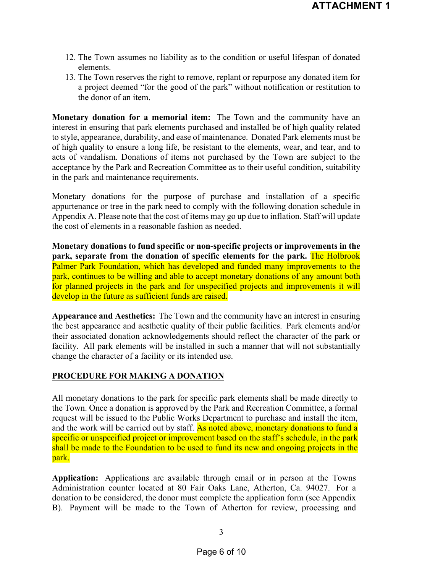- 12. The Town assumes no liability as to the condition or useful lifespan of donated elements.
- 13. The Town reserves the right to remove, replant or repurpose any donated item for a project deemed "for the good of the park" without notification or restitution to the donor of an item.

**Monetary donation for a memorial item:** The Town and the community have an interest in ensuring that park elements purchased and installed be of high quality related to style, appearance, durability, and ease of maintenance. Donated Park elements must be of high quality to ensure a long life, be resistant to the elements, wear, and tear, and to acts of vandalism. Donations of items not purchased by the Town are subject to the acceptance by the Park and Recreation Committee as to their useful condition, suitability in the park and maintenance requirements.

Monetary donations for the purpose of purchase and installation of a specific appurtenance or tree in the park need to comply with the following donation schedule in Appendix A. Please note that the cost of items may go up due to inflation. Staff will update the cost of elements in a reasonable fashion as needed.

**Monetary donations to fund specific or non-specific projects or improvements in the park, separate from the donation of specific elements for the park.** The Holbrook Palmer Park Foundation, which has developed and funded many improvements to the park, continues to be willing and able to accept monetary donations of any amount both for planned projects in the park and for unspecified projects and improvements it will develop in the future as sufficient funds are raised.

**Appearance and Aesthetics:** The Town and the community have an interest in ensuring the best appearance and aesthetic quality of their public facilities. Park elements and/or their associated donation acknowledgements should reflect the character of the park or facility. All park elements will be installed in such a manner that will not substantially change the character of a facility or its intended use.

#### **PROCEDURE FOR MAKING A DONATION**

All monetary donations to the park for specific park elements shall be made directly to the Town. Once a donation is approved by the Park and Recreation Committee, a formal request will be issued to the Public Works Department to purchase and install the item, and the work will be carried out by staff. As noted above, monetary donations to fund a specific or unspecified project or improvement based on the staff's schedule, in the park shall be made to the Foundation to be used to fund its new and ongoing projects in the park.

**Application:** Applications are available through email or in person at the Towns Administration counter located at 80 Fair Oaks Lane, Atherton, Ca. 94027. For a donation to be considered, the donor must complete the application form (see Appendix B). Payment will be made to the Town of Atherton for review, processing and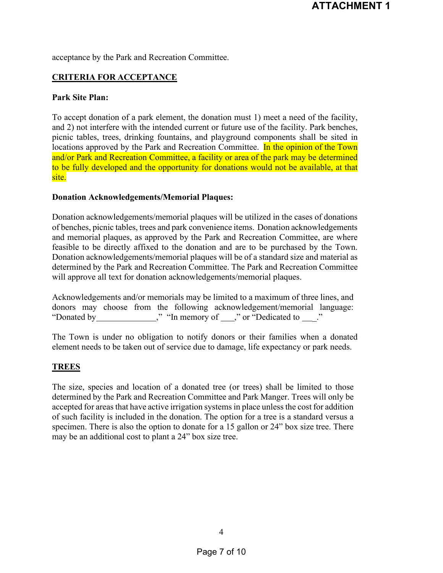acceptance by the Park and Recreation Committee.

#### **CRITERIA FOR ACCEPTANCE**

#### **Park Site Plan:**

To accept donation of a park element, the donation must 1) meet a need of the facility, and 2) not interfere with the intended current or future use of the facility. Park benches, picnic tables, trees, drinking fountains, and playground components shall be sited in locations approved by the Park and Recreation Committee. In the opinion of the Town and/or Park and Recreation Committee, a facility or area of the park may be determined to be fully developed and the opportunity for donations would not be available, at that site.

#### **Donation Acknowledgements/Memorial Plaques:**

Donation acknowledgements/memorial plaques will be utilized in the cases of donations of benches, picnic tables, trees and park convenience items. Donation acknowledgements and memorial plaques, as approved by the Park and Recreation Committee, are where feasible to be directly affixed to the donation and are to be purchased by the Town. Donation acknowledgements/memorial plaques will be of a standard size and material as determined by the Park and Recreation Committee. The Park and Recreation Committee will approve all text for donation acknowledgements/memorial plaques.

|             |  |  | Acknowledgements and/or memorials may be limited to a maximum of three lines, and |  |
|-------------|--|--|-----------------------------------------------------------------------------------|--|
|             |  |  | donors may choose from the following acknowledgement/memorial language:           |  |
| "Donated by |  |  | " "In memory of "" "Dedicated to"                                                 |  |

The Town is under no obligation to notify donors or their families when a donated element needs to be taken out of service due to damage, life expectancy or park needs.

#### **TREES**

The size, species and location of a donated tree (or trees) shall be limited to those determined by the Park and Recreation Committee and Park Manger. Trees will only be accepted for areasthat have active irrigation systems in place unless the cost for addition of such facility is included in the donation. The option for a tree is a standard versus a specimen. There is also the option to donate for a 15 gallon or 24" box size tree. There may be an additional cost to plant a 24" box size tree.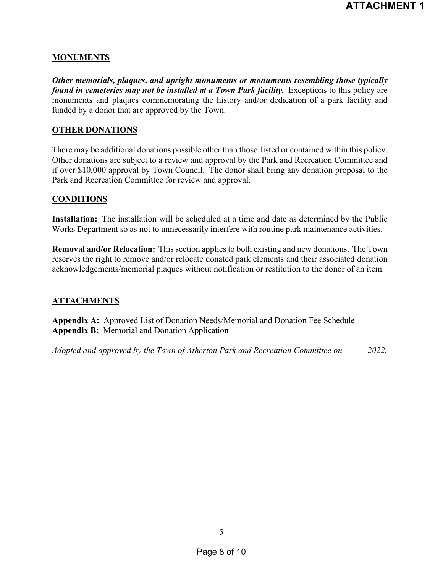#### **MONUMENTS**

*Other memorials, plaques, and upright monuments or monuments resembling those typically found in cemeteries may not be installed at a Town Park facility.* Exceptions to this policy are monuments and plaques commemorating the history and/or dedication of a park facility and funded by a donor that are approved by the Town.

#### **OTHER DONATIONS**

There may be additional donations possible other than those listed or contained within this policy. Other donations are subject to a review and approval by the Park and Recreation Committee and if over \$10,000 approval by Town Council. The donor shall bring any donation proposal to the Park and Recreation Committee for review and approval.

#### **CONDITIONS**

**Installation:** The installation will be scheduled at a time and date as determined by the Public Works Department so as not to unnecessarily interfere with routine park maintenance activities.

**Removal and/or Relocation:** This section applies to both existing and new donations. The Town reserves the right to remove and/or relocate donated park elements and their associated donation acknowledgements/memorial plaques without notification or restitution to the donor of an item.

### **ATTACHMENTS**

**Appendix A:** Approved List of Donation Needs/Memorial and Donation Fee Schedule **Appendix B:** Memorial and Donation Application

*Adopted and approved by the Town of Atherton Park and Recreation Committee on 2022.*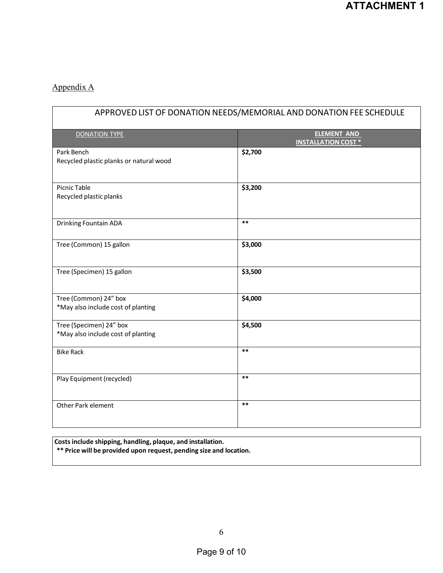# Appendix A

| APPROVED LIST OF DONATION NEEDS/MEMORIAL AND DONATION FEE SCHEDULE |                                                  |  |
|--------------------------------------------------------------------|--------------------------------------------------|--|
| <b>DONATION TYPE</b>                                               | <b>ELEMENT AND</b><br><b>INSTALLATION COST *</b> |  |
| Park Bench<br>Recycled plastic planks or natural wood              | \$2,700                                          |  |
| <b>Picnic Table</b><br>Recycled plastic planks                     | \$3,200                                          |  |
| Drinking Fountain ADA                                              | $***$                                            |  |
| Tree (Common) 15 gallon                                            | \$3,000                                          |  |
| Tree (Specimen) 15 gallon                                          | \$3,500                                          |  |
| Tree (Common) 24" box<br>*May also include cost of planting        | \$4,000                                          |  |
| Tree (Specimen) 24" box<br>*May also include cost of planting      | \$4,500                                          |  |
| <b>Bike Rack</b>                                                   | $***$                                            |  |
| Play Equipment (recycled)                                          | $***$                                            |  |
| Other Park element                                                 | $***$                                            |  |

**Costsinclude shipping, handling, plaque, and installation. \*\* Price will be provided upon request, pending size and location.**